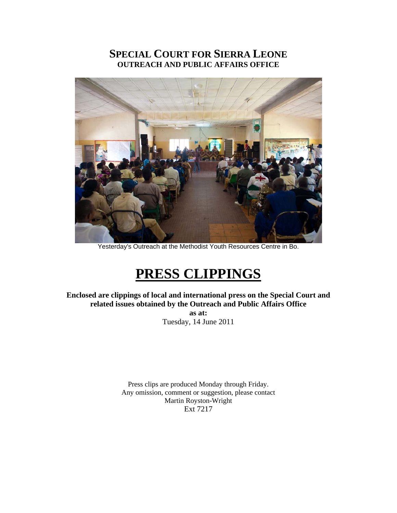# **SPECIAL COURT FOR SIERRA LEONE OUTREACH AND PUBLIC AFFAIRS OFFICE**



Yesterday's Outreach at the Methodist Youth Resources Centre in Bo.

# **PRESS CLIPPINGS**

**Enclosed are clippings of local and international press on the Special Court and related issues obtained by the Outreach and Public Affairs Office** 

> **as at:**  Tuesday, 14 June 2011

Press clips are produced Monday through Friday. Any omission, comment or suggestion, please contact Martin Royston-Wright Ext 7217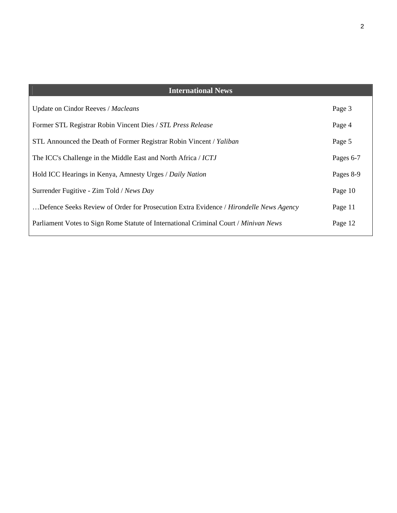| <b>International News</b>                                                             |           |
|---------------------------------------------------------------------------------------|-----------|
| <b>Update on Cindor Reeves / Macleans</b>                                             | Page 3    |
| Former STL Registrar Robin Vincent Dies / STL Press Release                           | Page 4    |
| STL Announced the Death of Former Registrar Robin Vincent / Yaliban                   | Page 5    |
| The ICC's Challenge in the Middle East and North Africa / ICTJ                        | Pages 6-7 |
| Hold ICC Hearings in Kenya, Amnesty Urges / Daily Nation                              | Pages 8-9 |
| Surrender Fugitive - Zim Told / News Day                                              | Page 10   |
| Defence Seeks Review of Order for Prosecution Extra Evidence / Hirondelle News Agency | Page 11   |
| Parliament Votes to Sign Rome Statute of International Criminal Court / Minivan News  | Page 12   |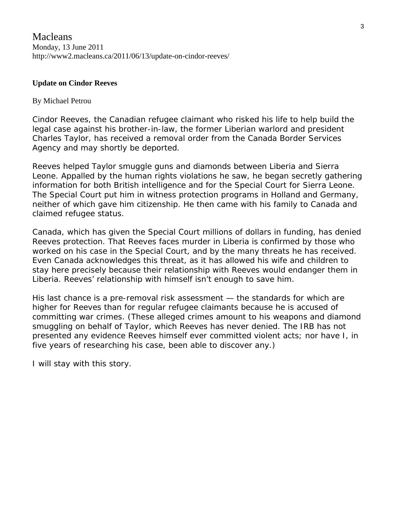# **Update on Cindor Reeves**

# By [Michael Petrou](http://www2.macleans.ca/author/mpetrou/)

[Cindor Reeves](http://www2.macleans.ca/2011/01/28/canada-on-verge-of-deporting-the-man-who-brought-a-tyrant-to-justice/), the Canadian refugee claimant who risked his life to help build the legal case against his brother-in-law, the former Liberian warlord and president Charles Taylor, has received a removal order from the Canada Border Services Agency and may shortly be deported.

Reeves helped Taylor smuggle guns and diamonds between Liberia and Sierra Leone. Appalled by the human rights violations he saw, he began secretly gathering information for both British intelligence and for the Special Court for Sierra Leone. The Special Court put him in witness protection programs in Holland and Germany, neither of which gave him citizenship. He then came with his family to Canada and claimed refugee status.

Canada, which has given the Special Court millions of dollars in funding, has denied Reeves protection. That Reeves faces murder in Liberia is confirmed by those who worked on his case in the Special Court, and by the many [threats](http://www2.macleans.ca/2011/02/10/you-will-rot-in-hell-you-know-the-price-for-snitching-liberians-on-cindor-reeves/) he has received. Even Canada acknowledges this threat, as it has allowed his wife and children to stay here precisely because their relationship with Reeves would endanger them in Liberia. Reeves' relationship with himself isn't enough to save him.

His last chance is a pre-removal risk assessment — the standards for which are higher for Reeves than for regular refugee claimants because he is accused of committing war crimes. (These alleged crimes amount to his weapons and diamond smuggling on behalf of Taylor, which Reeves has never denied. The IRB has not presented any evidence Reeves himself ever committed violent acts; nor have I, in five years of researching his case, been able to discover any.)

I will stay with this story.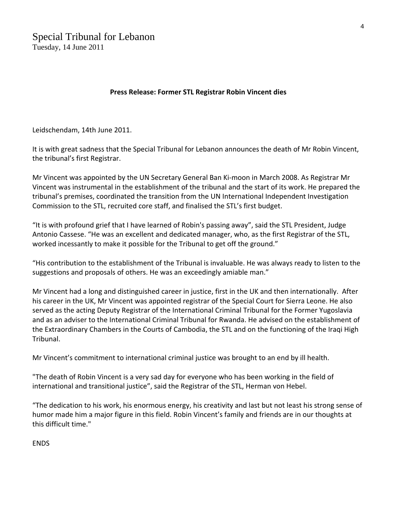# **Press Release: Former STL Registrar Robin Vincent dies**

Leidschendam, 14th June 2011.

It is with great sadness that the Special Tribunal for Lebanon announces the death of Mr Robin Vincent, the tribunal's first Registrar.

Mr Vincent was appointed by the UN Secretary General Ban Ki‐moon in March 2008. As Registrar Mr Vincent was instrumental in the establishment of the tribunal and the start of its work. He prepared the tribunal's premises, coordinated the transition from the UN International Independent Investigation Commission to the STL, recruited core staff, and finalised the STL's first budget.

"It is with profound grief that I have learned of Robin's passing away", said the STL President, Judge Antonio Cassese. "He was an excellent and dedicated manager, who, as the first Registrar of the STL, worked incessantly to make it possible for the Tribunal to get off the ground."

"His contribution to the establishment of the Tribunal is invaluable. He was always ready to listen to the suggestions and proposals of others. He was an exceedingly amiable man."

Mr Vincent had a long and distinguished career in justice, first in the UK and then internationally. After his career in the UK, Mr Vincent was appointed registrar of the Special Court for Sierra Leone. He also served as the acting Deputy Registrar of the International Criminal Tribunal for the Former Yugoslavia and as an adviser to the International Criminal Tribunal for Rwanda. He advised on the establishment of the Extraordinary Chambers in the Courts of Cambodia, the STL and on the functioning of the Iraqi High Tribunal.

Mr Vincent's commitment to international criminal justice was brought to an end by ill health.

"The death of Robin Vincent is a very sad day for everyone who has been working in the field of international and transitional justice", said the Registrar of the STL, Herman von Hebel.

"The dedication to his work, his enormous energy, his creativity and last but not least his strong sense of humor made him a major figure in this field. Robin Vincent's family and friends are in our thoughts at this difficult time."

**ENDS**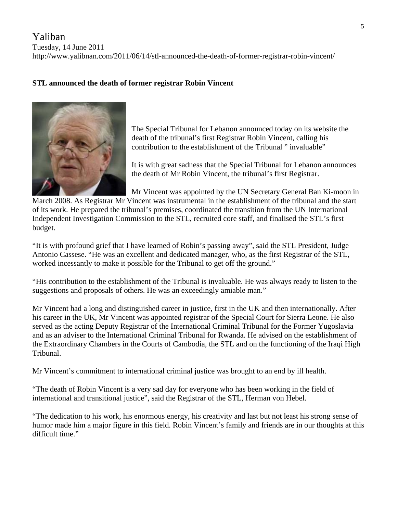# Yaliban

Tuesday, 14 June 2011

http://www.yalibnan.com/2011/06/14/stl-announced-the-death-of-former-registrar-robin-vincent/

# **STL announced the death of former registrar Robin Vincent**



The Special Tribunal for Lebanon announced today on its website the death of the tribunal's first Registrar Robin Vincent, calling his contribution to the establishment of the Tribunal " invaluable"

It is with great sadness that the Special Tribunal for Lebanon announces the death of Mr Robin Vincent, the tribunal's first Registrar.

Mr Vincent was appointed by the UN Secretary General Ban Ki-moon in

March 2008. As Registrar Mr Vincent was instrumental in the establishment of the tribunal and the start of its work. He prepared the tribunal's premises, coordinated the transition from the UN International Independent Investigation Commission to the STL, recruited core staff, and finalised the STL's first budget.

"It is with profound grief that I have learned of Robin's passing away", said the STL President, Judge Antonio Cassese. "He was an excellent and dedicated manager, who, as the first Registrar of the STL, worked incessantly to make it possible for the Tribunal to get off the ground."

"His contribution to the establishment of the Tribunal is invaluable. He was always ready to listen to the suggestions and proposals of others. He was an exceedingly amiable man."

Mr Vincent had a long and distinguished career in justice, first in the UK and then internationally. After his career in the UK, Mr Vincent was appointed registrar of the Special Court for Sierra Leone. He also served as the acting Deputy Registrar of the International Criminal Tribunal for the Former Yugoslavia and as an adviser to the International Criminal Tribunal for Rwanda. He advised on the establishment of the Extraordinary Chambers in the Courts of Cambodia, the STL and on the functioning of the Iraqi High Tribunal.

Mr Vincent's commitment to international criminal justice was brought to an end by ill health.

"The death of Robin Vincent is a very sad day for everyone who has been working in the field of international and transitional justice", said the Registrar of the STL, Herman von Hebel.

"The dedication to his work, his enormous energy, his creativity and last but not least his strong sense of humor made him a major figure in this field. Robin Vincent's family and friends are in our thoughts at this difficult time."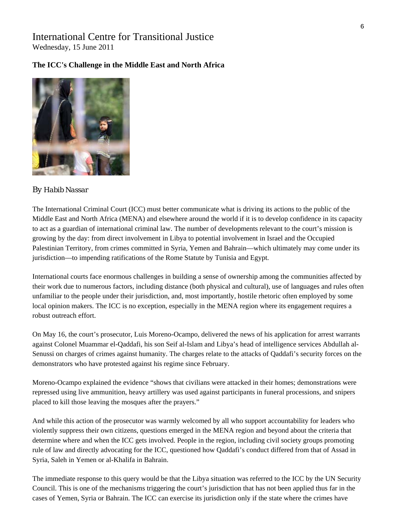# International Centre for Transitional Justice Wednesday, 15 June 2011

# **The ICC's Challenge in the Middle East and North Africa**



#### *By [Habib Nassar](http://ictj.org/about/habib-nassar)*

The International Criminal Court (ICC) must better communicate what is driving its actions to the public of the Middle East and North Africa (MENA) and elsewhere around the world if it is to develop confidence in its capacity to act as a guardian of international criminal law. The number of developments relevant to the court's mission is growing by the day: from direct involvement in Libya to potential involvement in Israel and the Occupied Palestinian Territory, from crimes committed in Syria, Yemen and Bahrain—which ultimately may come under its jurisdiction—to impending ratifications of the Rome Statute by Tunisia and Egypt.

International courts face enormous challenges in building a sense of ownership among the communities affected by their work due to numerous factors, including distance (both physical and cultural), use of languages and rules often unfamiliar to the people under their jurisdiction, and, most importantly, hostile rhetoric often employed by some local opinion makers. The ICC is no exception, especially in the MENA region where its engagement requires a robust outreach effort.

On May 16, the court's prosecutor, Luis Moreno-Ocampo, delivered the news of his application for arrest warrants against Colonel Muammar el-Qaddafi, his son Seif al-Islam and Libya's head of intelligence services Abdullah al-Senussi on charges of crimes against humanity. The charges relate to the attacks of Qaddafi's security forces on the demonstrators who have protested against his regime since February.

Moreno-Ocampo explained the evidence "shows that civilians were attacked in their homes; demonstrations were repressed using live ammunition, heavy artillery was used against participants in funeral processions, and snipers placed to kill those leaving the mosques after the prayers."

And while this action of the prosecutor was warmly welcomed by all who support accountability for leaders who violently suppress their own citizens, questions emerged in the MENA region and beyond about the criteria that determine where and when the ICC gets involved. People in the region, including civil society groups promoting rule of law and directly advocating for the ICC, questioned how Qaddafi's conduct differed from that of Assad in Syria, Saleh in Yemen or al-Khalifa in Bahrain.

The immediate response to this query would be that the Libya situation was referred to the ICC by the UN Security Council. This is one of the mechanisms triggering the court's jurisdiction that has not been applied thus far in the cases of Yemen, Syria or Bahrain. The ICC can exercise its jurisdiction only if the state where the crimes have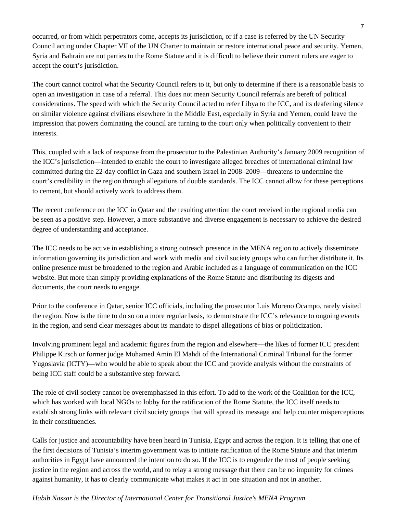occurred, or from which perpetrators come, accepts its jurisdiction, or if a case is referred by the UN Security Council acting under Chapter VII of the UN Charter to maintain or restore international peace and security. Yemen, Syria and Bahrain are not parties to the Rome Statute and it is difficult to believe their current rulers are eager to accept the court's jurisdiction.

The court cannot control what the Security Council refers to it, but only to determine if there is a reasonable basis to open an investigation in case of a referral. This does not mean Security Council referrals are bereft of political considerations. The speed with which the Security Council acted to refer Libya to the ICC, and its deafening silence on similar violence against civilians elsewhere in the Middle East, especially in Syria and Yemen, could leave the impression that powers dominating the council are turning to the court only when politically convenient to their interests.

This, coupled with a lack of response from the prosecutor to the Palestinian Authority's January 2009 recognition of the ICC's jurisdiction—intended to enable the court to investigate alleged breaches of international criminal law committed during the 22-day conflict in Gaza and southern Israel in 2008–2009—threatens to undermine the court's credibility in the region through allegations of double standards. The ICC cannot allow for these perceptions to cement, but should actively work to address them.

The recent conference on the ICC in Qatar and the resulting attention the court received in the regional media can be seen as a positive step. However, a more substantive and diverse engagement is necessary to achieve the desired degree of understanding and acceptance.

The ICC needs to be active in establishing a strong outreach presence in the MENA region to actively disseminate information governing its jurisdiction and work with media and civil society groups who can further distribute it. Its online presence must be broadened to the region and Arabic included as a language of communication on the ICC website. But more than simply providing explanations of the Rome Statute and distributing its digests and documents, the court needs to engage.

Prior to the conference in Qatar, senior ICC officials, including the prosecutor Luis Moreno Ocampo, rarely visited the region. Now is the time to do so on a more regular basis, to demonstrate the ICC's relevance to ongoing events in the region, and send clear messages about its mandate to dispel allegations of bias or politicization.

Involving prominent legal and academic figures from the region and elsewhere—the likes of former ICC president Philippe Kirsch or former judge Mohamed Amin El Mahdi of the International Criminal Tribunal for the former Yugoslavia (ICTY)—who would be able to speak about the ICC and provide analysis without the constraints of being ICC staff could be a substantive step forward.

The role of civil society cannot be overemphasised in this effort. To add to the work of the Coalition for the ICC, which has worked with local NGOs to lobby for the ratification of the Rome Statute, the ICC itself needs to establish strong links with relevant civil society groups that will spread its message and help counter misperceptions in their constituencies.

Calls for justice and accountability have been heard in Tunisia, Egypt and across the region. It is telling that one of the first decisions of Tunisia's interim government was to initiate ratification of the Rome Statute and that interim authorities in Egypt have announced the intention to do so. If the ICC is to engender the trust of people seeking justice in the region and across the world, and to relay a strong message that there can be no impunity for crimes against humanity, it has to clearly communicate what makes it act in one situation and not in another.

# *Habib Nassar is the Director of International Center for Transitional Justice's MENA Program*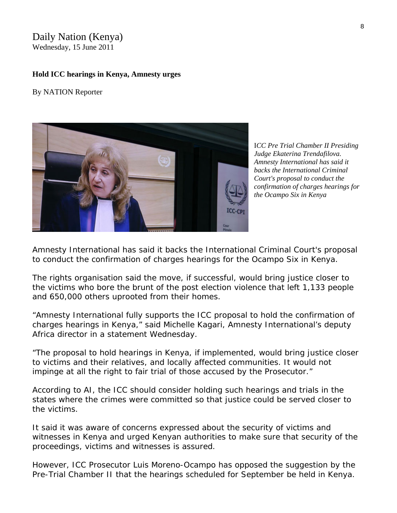# Daily Nation (Kenya) Wednesday, 15 June 2011

#### **Hold ICC hearings in Kenya, Amnesty urges**

By NATION Reporter



I*CC Pre Trial Chamber II Presiding Judge Ekaterina Trendafilova. Amnesty International has said it backs the International Criminal Court's proposal to conduct the confirmation of charges hearings for the Ocampo Six in Kenya* 

Amnesty International has said it backs the International Criminal Court's proposal to conduct the confirmation of charges hearings for the Ocampo Six in Kenya.

The rights organisation said the move, if successful, would bring justice closer to the victims who bore the brunt of the post election violence that left 1,133 people and 650,000 others uprooted from their homes.

"Amnesty International fully supports the ICC proposal to hold the confirmation of charges hearings in Kenya," said Michelle Kagari, Amnesty International's deputy Africa director in a statement Wednesday.

"The proposal to hold hearings in Kenya, if implemented, would bring justice closer to victims and their relatives, and locally affected communities. It would not impinge at all the right to fair trial of those accused by the Prosecutor."

According to AI, the ICC should consider holding such hearings and trials in the states where the crimes were committed so that justice could be served closer to the victims.

It said it was aware of concerns expressed about the security of victims and witnesses in Kenya and urged Kenyan authorities to make sure that security of the proceedings, victims and witnesses is assured.

However, [ICC Prosecutor Luis Moreno-Ocampo has opposed the suggestion](http://www.nation.co.ke/News/politics/-/1064/1180358/-/7t84va/-/index.html) by the Pre-Trial Chamber II that the hearings scheduled for September be held in Kenya.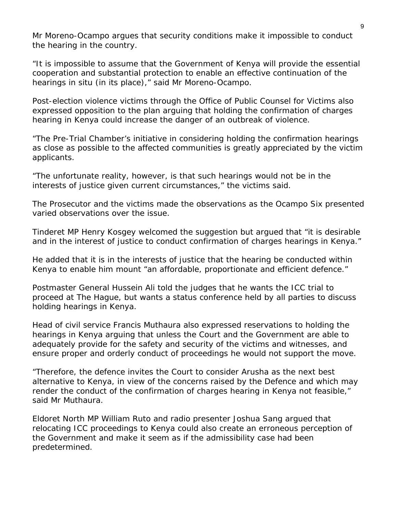Mr Moreno-Ocampo argues that security conditions make it impossible to conduct the hearing in the country.

"It is impossible to assume that the Government of Kenya will provide the essential cooperation and substantial protection to enable an effective continuation of the hearings *in situ* (in its place)," said Mr Moreno-Ocampo.

Post-election violence victims through the Office of Public Counsel for Victims also expressed opposition to the plan arguing that holding the confirmation of charges hearing in Kenya could increase the danger of an outbreak of violence.

"The Pre-Trial Chamber's initiative in considering holding the confirmation hearings as close as possible to the affected communities is greatly appreciated by the victim applicants.

"The unfortunate reality, however, is that such hearings would not be in the interests of justice given current circumstances," the victims said.

The Prosecutor and the victims made the observations as the Ocampo Six presented varied observations over the issue.

Tinderet MP Henry Kosgey welcomed the suggestion but argued that "it is desirable and in the interest of justice to conduct confirmation of charges hearings in Kenya."

He added that it is in the interests of justice that the hearing be conducted within Kenya to enable him mount "an affordable, proportionate and efficient defence."

Postmaster General Hussein Ali told the judges that he wants the ICC trial to proceed at The Hague, but wants a status conference held by all parties to discuss holding hearings in Kenya.

Head of civil service Francis Muthaura also expressed reservations to holding the hearings in Kenya arguing that unless the Court and the Government are able to adequately provide for the safety and security of the victims and witnesses, and ensure proper and orderly conduct of proceedings he would not support the move.

"Therefore, the defence invites the Court to consider Arusha as the next best alternative to Kenya, in view of the concerns raised by the Defence and which may render the conduct of the confirmation of charges hearing in Kenya not feasible," said Mr Muthaura.

Eldoret North MP William Ruto and radio presenter Joshua Sang argued that relocating ICC proceedings to Kenya could also create an erroneous perception of the Government and make it seem as if the admissibility case had been predetermined.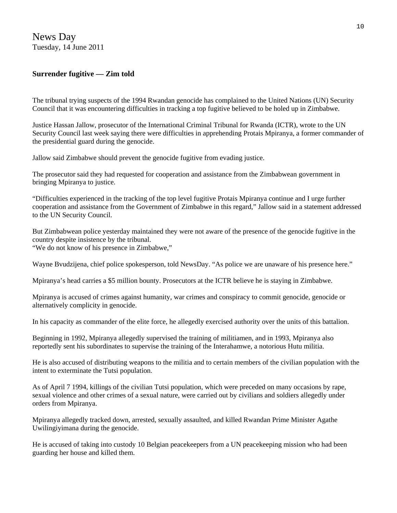News Day Tuesday, 14 June 2011

# **Surrender fugitive — Zim told**

The tribunal trying suspects of the 1994 Rwandan genocide has complained to the United Nations (UN) Security Council that it was encountering difficulties in tracking a top fugitive believed to be holed up in Zimbabwe.

Justice Hassan Jallow, prosecutor of the International Criminal Tribunal for Rwanda (ICTR), wrote to the UN Security Council last week saying there were difficulties in apprehending Protais Mpiranya, a former commander of the presidential guard during the genocide.

Jallow said Zimbabwe should prevent the genocide fugitive from evading justice.

The prosecutor said they had requested for cooperation and assistance from the Zimbabwean government in bringing Mpiranya to justice.

"Difficulties experienced in the tracking of the top level fugitive Protais Mpiranya continue and I urge further cooperation and assistance from the Government of Zimbabwe in this regard," Jallow said in a statement addressed to the UN Security Council.

But Zimbabwean police yesterday maintained they were not aware of the presence of the genocide fugitive in the country despite insistence by the tribunal.

"We do not know of his presence in Zimbabwe,"

Wayne Bvudzijena, chief police spokesperson, told NewsDay. "As police we are unaware of his presence here."

Mpiranya's head carries a \$5 million bounty. Prosecutors at the ICTR believe he is staying in Zimbabwe.

Mpiranya is accused of crimes against humanity, war crimes and conspiracy to commit genocide, genocide or alternatively complicity in genocide.

In his capacity as commander of the elite force, he allegedly exercised authority over the units of this battalion.

Beginning in 1992, Mpiranya allegedly supervised the training of militiamen, and in 1993, Mpiranya also reportedly sent his subordinates to supervise the training of the Interahamwe, a notorious Hutu militia.

He is also accused of distributing weapons to the militia and to certain members of the civilian population with the intent to exterminate the Tutsi population.

As of April 7 1994, killings of the civilian Tutsi population, which were preceded on many occasions by rape, sexual violence and other crimes of a sexual nature, were carried out by civilians and soldiers allegedly under orders from Mpiranya.

Mpiranya allegedly tracked down, arrested, sexually assaulted, and killed Rwandan Prime Minister Agathe Uwilingiyimana during the genocide.

He is accused of taking into custody 10 Belgian peacekeepers from a UN peacekeeping mission who had been guarding her house and killed them.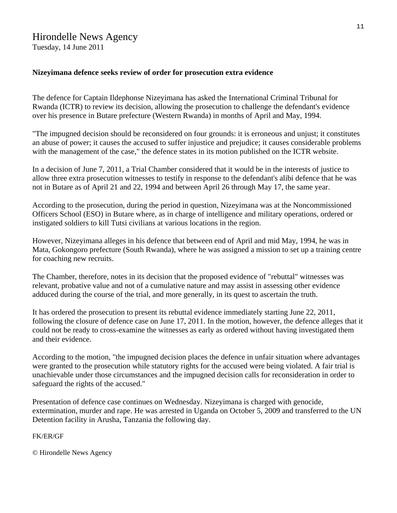# Hirondelle News Agency

Tuesday, 14 June 2011

# **Nizeyimana defence seeks review of order for prosecution extra evidence**

The defence for Captain Ildephonse Nizeyimana has asked the International Criminal Tribunal for Rwanda (ICTR) to review its decision, allowing the prosecution to challenge the defendant's evidence over his presence in Butare prefecture (Western Rwanda) in months of April and May, 1994.

"The impugned decision should be reconsidered on four grounds: it is erroneous and unjust; it constitutes an abuse of power; it causes the accused to suffer injustice and prejudice; it causes considerable problems with the management of the case," the defence states in its motion published on the ICTR website.

In a decision of June 7, 2011, a Trial Chamber considered that it would be in the interests of justice to allow three extra prosecution witnesses to testify in response to the defendant's alibi defence that he was not in Butare as of April 21 and 22, 1994 and between April 26 through May 17, the same year.

According to the prosecution, during the period in question, Nizeyimana was at the Noncommissioned Officers School (ESO) in Butare where, as in charge of intelligence and military operations, ordered or instigated soldiers to kill Tutsi civilians at various locations in the region.

However, Nizeyimana alleges in his defence that between end of April and mid May, 1994, he was in Mata, Gokongoro prefecture (South Rwanda), where he was assigned a mission to set up a training centre for coaching new recruits.

The Chamber, therefore, notes in its decision that the proposed evidence of "rebuttal" witnesses was relevant, probative value and not of a cumulative nature and may assist in assessing other evidence adduced during the course of the trial, and more generally, in its quest to ascertain the truth.

It has ordered the prosecution to present its rebuttal evidence immediately starting June 22, 2011, following the closure of defence case on June 17, 2011. In the motion, however, the defence alleges that it could not be ready to cross-examine the witnesses as early as ordered without having investigated them and their evidence.

According to the motion, "the impugned decision places the defence in unfair situation where advantages were granted to the prosecution while statutory rights for the accused were being violated. A fair trial is unachievable under those circumstances and the impugned decision calls for reconsideration in order to safeguard the rights of the accused."

Presentation of defence case continues on Wednesday. Nizeyimana is charged with genocide, extermination, murder and rape. He was arrested in Uganda on October 5, 2009 and transferred to the UN Detention facility in Arusha, Tanzania the following day.

FK/ER/GF

© Hirondelle News Agency